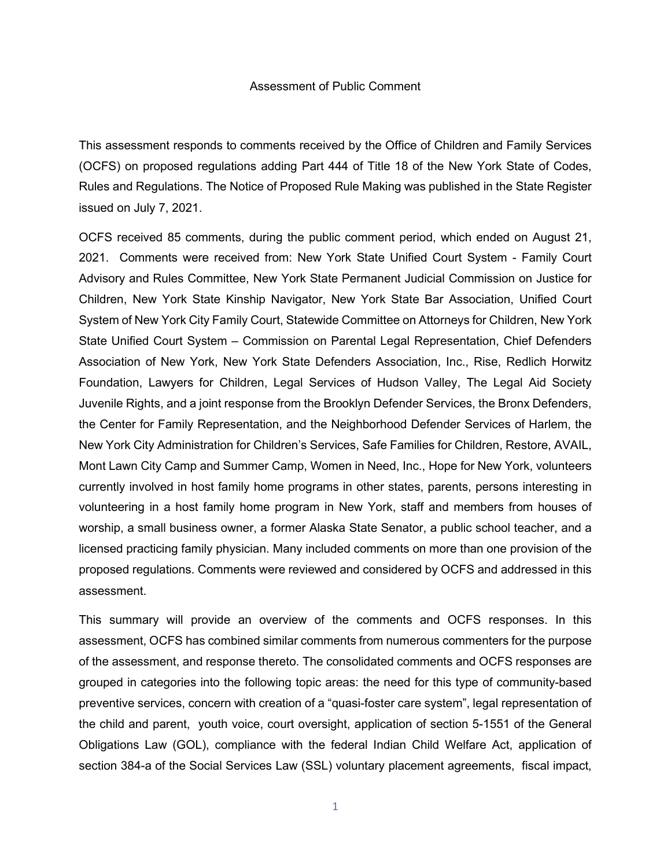## Assessment of Public Comment

This assessment responds to comments received by the Office of Children and Family Services (OCFS) on proposed regulations adding Part 444 of Title 18 of the New York State of Codes, Rules and Regulations. The Notice of Proposed Rule Making was published in the State Register issued on July 7, 2021.

OCFS received 85 comments, during the public comment period, which ended on August 21, 2021. Comments were received from: New York State Unified Court System - Family Court Advisory and Rules Committee, New York State Permanent Judicial Commission on Justice for Children, New York State Kinship Navigator, New York State Bar Association, Unified Court System of New York City Family Court, Statewide Committee on Attorneys for Children, New York State Unified Court System – Commission on Parental Legal Representation, Chief Defenders Association of New York, New York State Defenders Association, Inc., Rise, Redlich Horwitz Foundation, Lawyers for Children, Legal Services of Hudson Valley, The Legal Aid Society Juvenile Rights, and a joint response from the Brooklyn Defender Services, the Bronx Defenders, the Center for Family Representation, and the Neighborhood Defender Services of Harlem, the New York City Administration for Children's Services, Safe Families for Children, Restore, AVAIL, Mont Lawn City Camp and Summer Camp, Women in Need, Inc., Hope for New York, volunteers currently involved in host family home programs in other states, parents, persons interesting in volunteering in a host family home program in New York, staff and members from houses of worship, a small business owner, a former Alaska State Senator, a public school teacher, and a licensed practicing family physician. Many included comments on more than one provision of the proposed regulations. Comments were reviewed and considered by OCFS and addressed in this assessment.

This summary will provide an overview of the comments and OCFS responses. In this assessment, OCFS has combined similar comments from numerous commenters for the purpose of the assessment, and response thereto. The consolidated comments and OCFS responses are grouped in categories into the following topic areas: the need for this type of community-based preventive services, concern with creation of a "quasi-foster care system", legal representation of the child and parent, youth voice, court oversight, application of section 5-1551 of the General Obligations Law (GOL), compliance with the federal Indian Child Welfare Act, application of section 384-a of the Social Services Law (SSL) voluntary placement agreements, fiscal impact,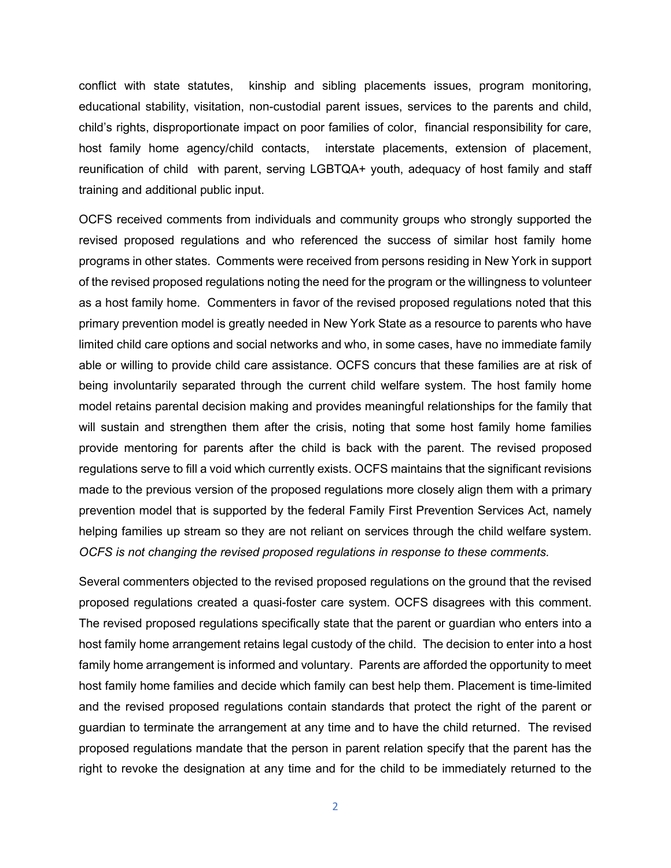conflict with state statutes, kinship and sibling placements issues, program monitoring, educational stability, visitation, non-custodial parent issues, services to the parents and child, child's rights, disproportionate impact on poor families of color, financial responsibility for care, host family home agency/child contacts, interstate placements, extension of placement, reunification of child with parent, serving LGBTQA+ youth, adequacy of host family and staff training and additional public input.

OCFS received comments from individuals and community groups who strongly supported the revised proposed regulations and who referenced the success of similar host family home programs in other states. Comments were received from persons residing in New York in support of the revised proposed regulations noting the need for the program or the willingness to volunteer as a host family home. Commenters in favor of the revised proposed regulations noted that this primary prevention model is greatly needed in New York State as a resource to parents who have limited child care options and social networks and who, in some cases, have no immediate family able or willing to provide child care assistance. OCFS concurs that these families are at risk of being involuntarily separated through the current child welfare system. The host family home model retains parental decision making and provides meaningful relationships for the family that will sustain and strengthen them after the crisis, noting that some host family home families provide mentoring for parents after the child is back with the parent. The revised proposed regulations serve to fill a void which currently exists. OCFS maintains that the significant revisions made to the previous version of the proposed regulations more closely align them with a primary prevention model that is supported by the federal Family First Prevention Services Act, namely helping families up stream so they are not reliant on services through the child welfare system. *OCFS is not changing the revised proposed regulations in response to these comments.*

Several commenters objected to the revised proposed regulations on the ground that the revised proposed regulations created a quasi-foster care system. OCFS disagrees with this comment. The revised proposed regulations specifically state that the parent or guardian who enters into a host family home arrangement retains legal custody of the child. The decision to enter into a host family home arrangement is informed and voluntary. Parents are afforded the opportunity to meet host family home families and decide which family can best help them. Placement is time-limited and the revised proposed regulations contain standards that protect the right of the parent or guardian to terminate the arrangement at any time and to have the child returned. The revised proposed regulations mandate that the person in parent relation specify that the parent has the right to revoke the designation at any time and for the child to be immediately returned to the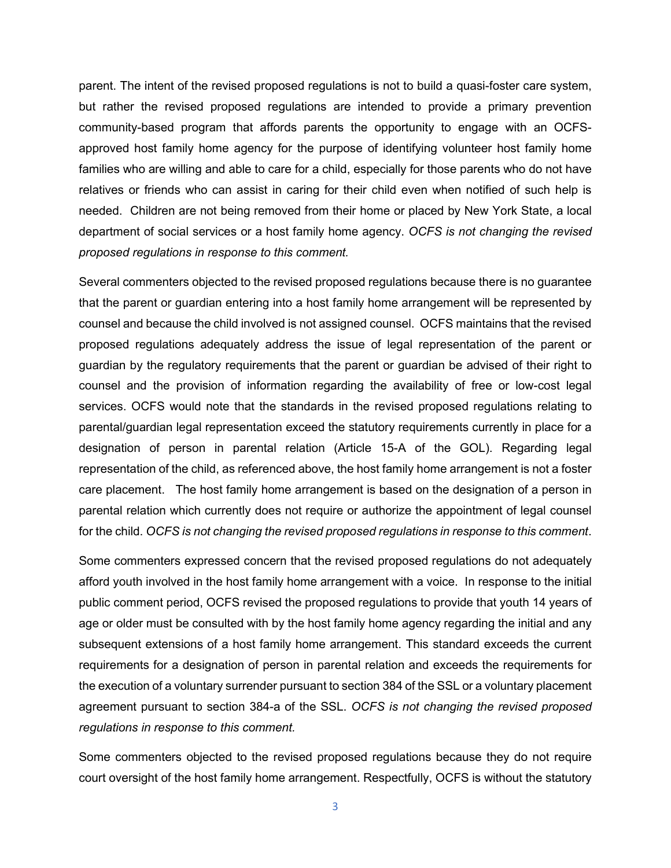parent. The intent of the revised proposed regulations is not to build a quasi-foster care system, but rather the revised proposed regulations are intended to provide a primary prevention community-based program that affords parents the opportunity to engage with an OCFSapproved host family home agency for the purpose of identifying volunteer host family home families who are willing and able to care for a child, especially for those parents who do not have relatives or friends who can assist in caring for their child even when notified of such help is needed. Children are not being removed from their home or placed by New York State, a local department of social services or a host family home agency. *OCFS is not changing the revised proposed regulations in response to this comment.* 

Several commenters objected to the revised proposed regulations because there is no guarantee that the parent or guardian entering into a host family home arrangement will be represented by counsel and because the child involved is not assigned counsel. OCFS maintains that the revised proposed regulations adequately address the issue of legal representation of the parent or guardian by the regulatory requirements that the parent or guardian be advised of their right to counsel and the provision of information regarding the availability of free or low-cost legal services. OCFS would note that the standards in the revised proposed regulations relating to parental/guardian legal representation exceed the statutory requirements currently in place for a designation of person in parental relation (Article 15-A of the GOL). Regarding legal representation of the child, as referenced above, the host family home arrangement is not a foster care placement. The host family home arrangement is based on the designation of a person in parental relation which currently does not require or authorize the appointment of legal counsel for the child. *OCFS is not changing the revised proposed regulations in response to this comment*.

Some commenters expressed concern that the revised proposed regulations do not adequately afford youth involved in the host family home arrangement with a voice. In response to the initial public comment period, OCFS revised the proposed regulations to provide that youth 14 years of age or older must be consulted with by the host family home agency regarding the initial and any subsequent extensions of a host family home arrangement. This standard exceeds the current requirements for a designation of person in parental relation and exceeds the requirements for the execution of a voluntary surrender pursuant to section 384 of the SSL or a voluntary placement agreement pursuant to section 384-a of the SSL. *OCFS is not changing the revised proposed regulations in response to this comment.*

Some commenters objected to the revised proposed regulations because they do not require court oversight of the host family home arrangement. Respectfully, OCFS is without the statutory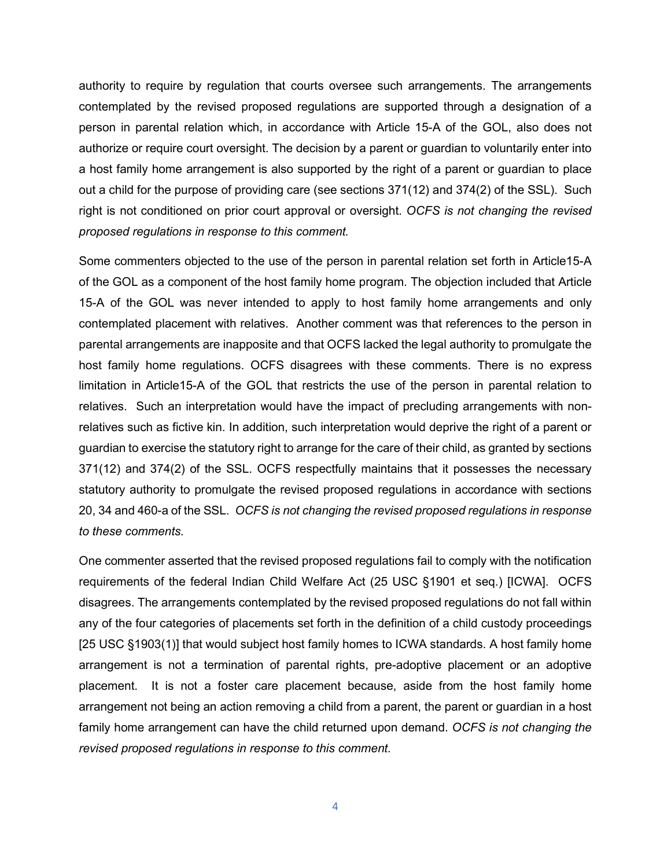authority to require by regulation that courts oversee such arrangements. The arrangements contemplated by the revised proposed regulations are supported through a designation of a person in parental relation which, in accordance with Article 15-A of the GOL, also does not authorize or require court oversight. The decision by a parent or guardian to voluntarily enter into a host family home arrangement is also supported by the right of a parent or guardian to place out a child for the purpose of providing care (see sections 371(12) and 374(2) of the SSL). Such right is not conditioned on prior court approval or oversight. *OCFS is not changing the revised proposed regulations in response to this comment.*

Some commenters objected to the use of the person in parental relation set forth in Article15-A of the GOL as a component of the host family home program. The objection included that Article 15-A of the GOL was never intended to apply to host family home arrangements and only contemplated placement with relatives. Another comment was that references to the person in parental arrangements are inapposite and that OCFS lacked the legal authority to promulgate the host family home regulations. OCFS disagrees with these comments. There is no express limitation in Article15-A of the GOL that restricts the use of the person in parental relation to relatives. Such an interpretation would have the impact of precluding arrangements with nonrelatives such as fictive kin. In addition, such interpretation would deprive the right of a parent or guardian to exercise the statutory right to arrange for the care of their child, as granted by sections 371(12) and 374(2) of the SSL. OCFS respectfully maintains that it possesses the necessary statutory authority to promulgate the revised proposed regulations in accordance with sections 20, 34 and 460-a of the SSL. *OCFS is not changing the revised proposed regulations in response to these comments.*

One commenter asserted that the revised proposed regulations fail to comply with the notification requirements of the federal Indian Child Welfare Act (25 USC §1901 et seq.) [ICWA]. OCFS disagrees. The arrangements contemplated by the revised proposed regulations do not fall within any of the four categories of placements set forth in the definition of a child custody proceedings [25 USC §1903(1)] that would subject host family homes to ICWA standards. A host family home arrangement is not a termination of parental rights, pre-adoptive placement or an adoptive placement. It is not a foster care placement because, aside from the host family home arrangement not being an action removing a child from a parent, the parent or guardian in a host family home arrangement can have the child returned upon demand. *OCFS is not changing the revised proposed regulations in response to this comment.*

4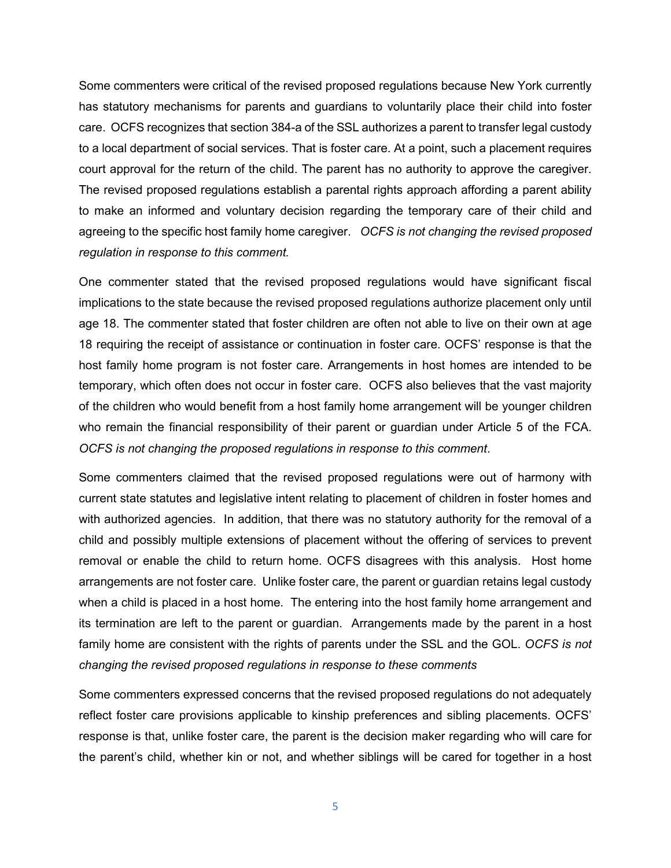Some commenters were critical of the revised proposed regulations because New York currently has statutory mechanisms for parents and guardians to voluntarily place their child into foster care. OCFS recognizes that section 384-a of the SSL authorizes a parent to transfer legal custody to a local department of social services. That is foster care. At a point, such a placement requires court approval for the return of the child. The parent has no authority to approve the caregiver. The revised proposed regulations establish a parental rights approach affording a parent ability to make an informed and voluntary decision regarding the temporary care of their child and agreeing to the specific host family home caregiver. *OCFS is not changing the revised proposed regulation in response to this comment.*

One commenter stated that the revised proposed regulations would have significant fiscal implications to the state because the revised proposed regulations authorize placement only until age 18. The commenter stated that foster children are often not able to live on their own at age 18 requiring the receipt of assistance or continuation in foster care. OCFS' response is that the host family home program is not foster care. Arrangements in host homes are intended to be temporary, which often does not occur in foster care. OCFS also believes that the vast majority of the children who would benefit from a host family home arrangement will be younger children who remain the financial responsibility of their parent or guardian under Article 5 of the FCA. *OCFS is not changing the proposed regulations in response to this comment*.

Some commenters claimed that the revised proposed regulations were out of harmony with current state statutes and legislative intent relating to placement of children in foster homes and with authorized agencies. In addition, that there was no statutory authority for the removal of a child and possibly multiple extensions of placement without the offering of services to prevent removal or enable the child to return home. OCFS disagrees with this analysis. Host home arrangements are not foster care. Unlike foster care, the parent or guardian retains legal custody when a child is placed in a host home. The entering into the host family home arrangement and its termination are left to the parent or guardian. Arrangements made by the parent in a host family home are consistent with the rights of parents under the SSL and the GOL. *OCFS is not changing the revised proposed regulations in response to these comments*

Some commenters expressed concerns that the revised proposed regulations do not adequately reflect foster care provisions applicable to kinship preferences and sibling placements. OCFS' response is that, unlike foster care, the parent is the decision maker regarding who will care for the parent's child, whether kin or not, and whether siblings will be cared for together in a host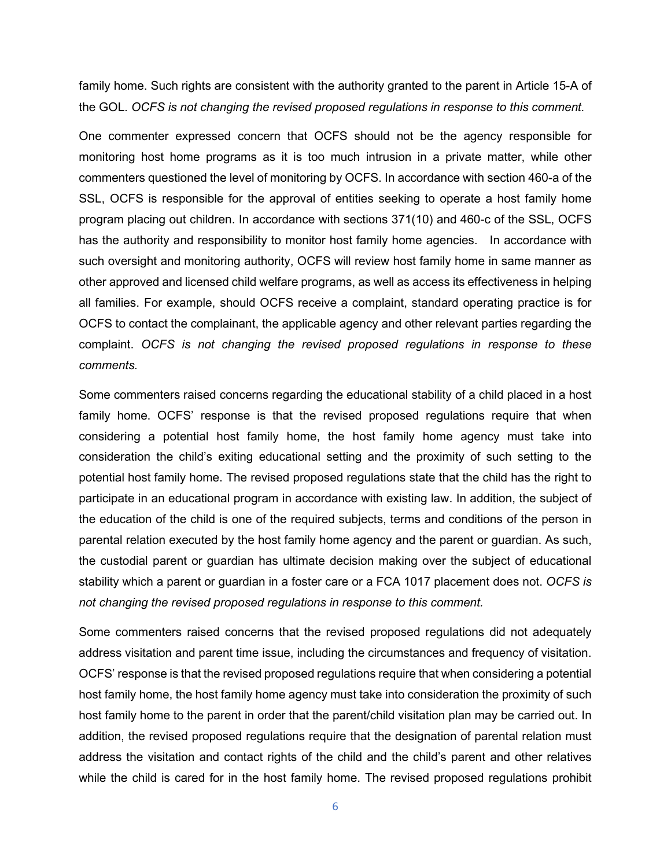family home. Such rights are consistent with the authority granted to the parent in Article 15-A of the GOL. *OCFS is not changing the revised proposed regulations in response to this comment.*

One commenter expressed concern that OCFS should not be the agency responsible for monitoring host home programs as it is too much intrusion in a private matter, while other commenters questioned the level of monitoring by OCFS. In accordance with section 460-a of the SSL, OCFS is responsible for the approval of entities seeking to operate a host family home program placing out children. In accordance with sections 371(10) and 460-c of the SSL, OCFS has the authority and responsibility to monitor host family home agencies. In accordance with such oversight and monitoring authority, OCFS will review host family home in same manner as other approved and licensed child welfare programs, as well as access its effectiveness in helping all families. For example, should OCFS receive a complaint, standard operating practice is for OCFS to contact the complainant, the applicable agency and other relevant parties regarding the complaint. *OCFS is not changing the revised proposed regulations in response to these comments.*

Some commenters raised concerns regarding the educational stability of a child placed in a host family home. OCFS' response is that the revised proposed regulations require that when considering a potential host family home, the host family home agency must take into consideration the child's exiting educational setting and the proximity of such setting to the potential host family home. The revised proposed regulations state that the child has the right to participate in an educational program in accordance with existing law. In addition, the subject of the education of the child is one of the required subjects, terms and conditions of the person in parental relation executed by the host family home agency and the parent or guardian. As such, the custodial parent or guardian has ultimate decision making over the subject of educational stability which a parent or guardian in a foster care or a FCA 1017 placement does not. *OCFS is not changing the revised proposed regulations in response to this comment.*

Some commenters raised concerns that the revised proposed regulations did not adequately address visitation and parent time issue, including the circumstances and frequency of visitation. OCFS' response is that the revised proposed regulations require that when considering a potential host family home, the host family home agency must take into consideration the proximity of such host family home to the parent in order that the parent/child visitation plan may be carried out. In addition, the revised proposed regulations require that the designation of parental relation must address the visitation and contact rights of the child and the child's parent and other relatives while the child is cared for in the host family home. The revised proposed regulations prohibit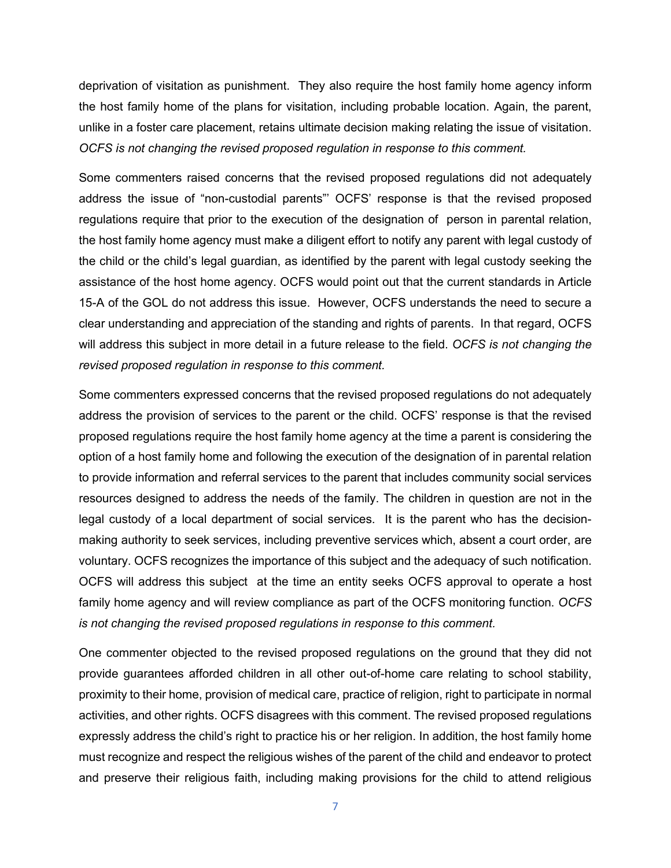deprivation of visitation as punishment. They also require the host family home agency inform the host family home of the plans for visitation, including probable location. Again, the parent, unlike in a foster care placement, retains ultimate decision making relating the issue of visitation. *OCFS is not changing the revised proposed regulation in response to this comment.*

Some commenters raised concerns that the revised proposed regulations did not adequately address the issue of "non-custodial parents"' OCFS' response is that the revised proposed regulations require that prior to the execution of the designation of person in parental relation, the host family home agency must make a diligent effort to notify any parent with legal custody of the child or the child's legal guardian, as identified by the parent with legal custody seeking the assistance of the host home agency. OCFS would point out that the current standards in Article 15-A of the GOL do not address this issue. However, OCFS understands the need to secure a clear understanding and appreciation of the standing and rights of parents. In that regard, OCFS will address this subject in more detail in a future release to the field. *OCFS is not changing the revised proposed regulation in response to this comment.*

Some commenters expressed concerns that the revised proposed regulations do not adequately address the provision of services to the parent or the child. OCFS' response is that the revised proposed regulations require the host family home agency at the time a parent is considering the option of a host family home and following the execution of the designation of in parental relation to provide information and referral services to the parent that includes community social services resources designed to address the needs of the family. The children in question are not in the legal custody of a local department of social services. It is the parent who has the decisionmaking authority to seek services, including preventive services which, absent a court order, are voluntary. OCFS recognizes the importance of this subject and the adequacy of such notification. OCFS will address this subject at the time an entity seeks OCFS approval to operate a host family home agency and will review compliance as part of the OCFS monitoring function. *OCFS is not changing the revised proposed regulations in response to this comment.*

One commenter objected to the revised proposed regulations on the ground that they did not provide guarantees afforded children in all other out-of-home care relating to school stability, proximity to their home, provision of medical care, practice of religion, right to participate in normal activities, and other rights. OCFS disagrees with this comment. The revised proposed regulations expressly address the child's right to practice his or her religion. In addition, the host family home must recognize and respect the religious wishes of the parent of the child and endeavor to protect and preserve their religious faith, including making provisions for the child to attend religious

7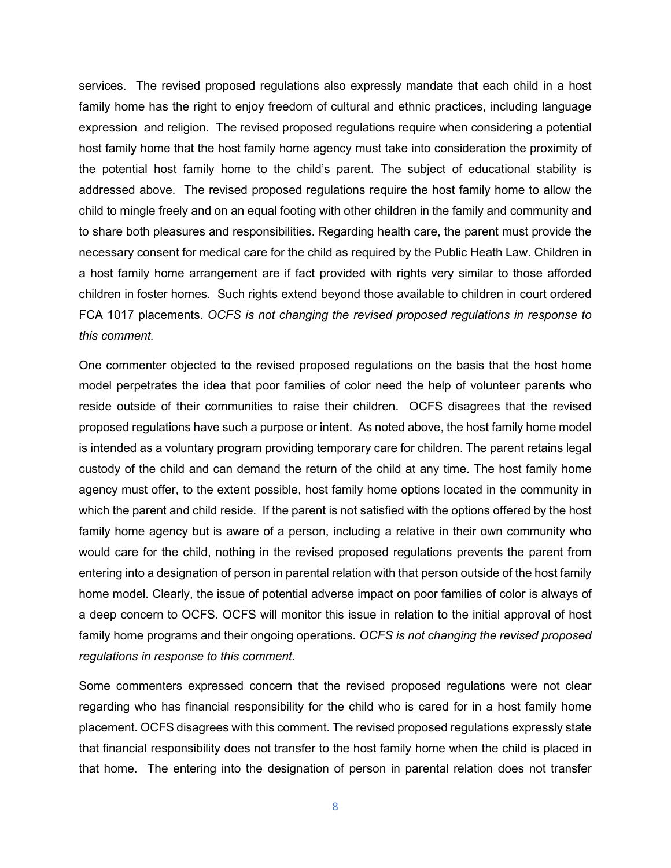services. The revised proposed regulations also expressly mandate that each child in a host family home has the right to enjoy freedom of cultural and ethnic practices, including language expression and religion. The revised proposed regulations require when considering a potential host family home that the host family home agency must take into consideration the proximity of the potential host family home to the child's parent. The subject of educational stability is addressed above. The revised proposed regulations require the host family home to allow the child to mingle freely and on an equal footing with other children in the family and community and to share both pleasures and responsibilities. Regarding health care, the parent must provide the necessary consent for medical care for the child as required by the Public Heath Law. Children in a host family home arrangement are if fact provided with rights very similar to those afforded children in foster homes. Such rights extend beyond those available to children in court ordered FCA 1017 placements. *OCFS is not changing the revised proposed regulations in response to this comment.*

One commenter objected to the revised proposed regulations on the basis that the host home model perpetrates the idea that poor families of color need the help of volunteer parents who reside outside of their communities to raise their children. OCFS disagrees that the revised proposed regulations have such a purpose or intent. As noted above, the host family home model is intended as a voluntary program providing temporary care for children. The parent retains legal custody of the child and can demand the return of the child at any time. The host family home agency must offer, to the extent possible, host family home options located in the community in which the parent and child reside. If the parent is not satisfied with the options offered by the host family home agency but is aware of a person, including a relative in their own community who would care for the child, nothing in the revised proposed regulations prevents the parent from entering into a designation of person in parental relation with that person outside of the host family home model. Clearly, the issue of potential adverse impact on poor families of color is always of a deep concern to OCFS. OCFS will monitor this issue in relation to the initial approval of host family home programs and their ongoing operations*. OCFS is not changing the revised proposed regulations in response to this comment.*

Some commenters expressed concern that the revised proposed regulations were not clear regarding who has financial responsibility for the child who is cared for in a host family home placement. OCFS disagrees with this comment. The revised proposed regulations expressly state that financial responsibility does not transfer to the host family home when the child is placed in that home. The entering into the designation of person in parental relation does not transfer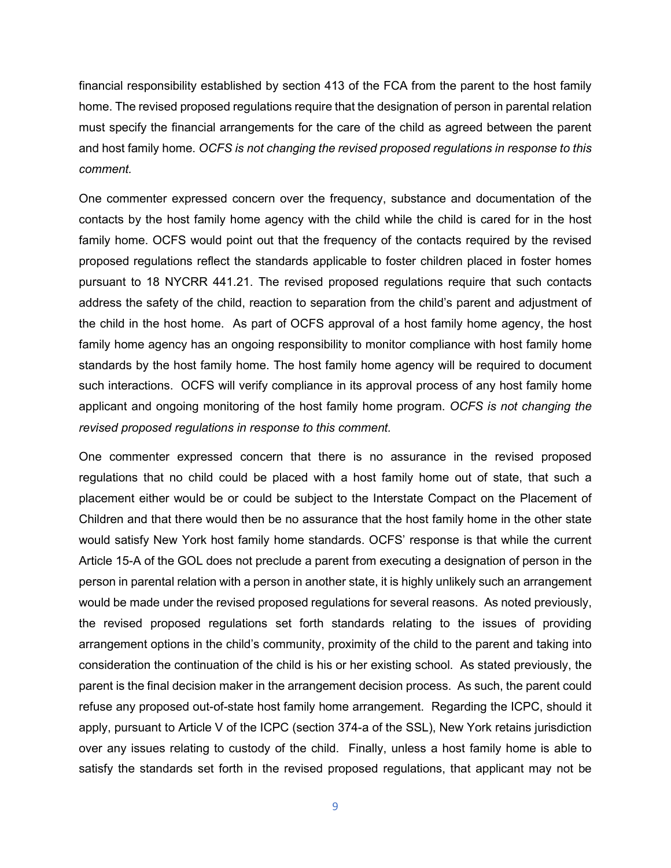financial responsibility established by section 413 of the FCA from the parent to the host family home. The revised proposed regulations require that the designation of person in parental relation must specify the financial arrangements for the care of the child as agreed between the parent and host family home. *OCFS is not changing the revised proposed regulations in response to this comment.*

One commenter expressed concern over the frequency, substance and documentation of the contacts by the host family home agency with the child while the child is cared for in the host family home. OCFS would point out that the frequency of the contacts required by the revised proposed regulations reflect the standards applicable to foster children placed in foster homes pursuant to 18 NYCRR 441.21. The revised proposed regulations require that such contacts address the safety of the child, reaction to separation from the child's parent and adjustment of the child in the host home. As part of OCFS approval of a host family home agency, the host family home agency has an ongoing responsibility to monitor compliance with host family home standards by the host family home. The host family home agency will be required to document such interactions. OCFS will verify compliance in its approval process of any host family home applicant and ongoing monitoring of the host family home program. *OCFS is not changing the revised proposed regulations in response to this comment.*

One commenter expressed concern that there is no assurance in the revised proposed regulations that no child could be placed with a host family home out of state, that such a placement either would be or could be subject to the Interstate Compact on the Placement of Children and that there would then be no assurance that the host family home in the other state would satisfy New York host family home standards. OCFS' response is that while the current Article 15-A of the GOL does not preclude a parent from executing a designation of person in the person in parental relation with a person in another state, it is highly unlikely such an arrangement would be made under the revised proposed regulations for several reasons. As noted previously, the revised proposed regulations set forth standards relating to the issues of providing arrangement options in the child's community, proximity of the child to the parent and taking into consideration the continuation of the child is his or her existing school. As stated previously, the parent is the final decision maker in the arrangement decision process. As such, the parent could refuse any proposed out-of-state host family home arrangement. Regarding the ICPC, should it apply, pursuant to Article V of the ICPC (section 374-a of the SSL), New York retains jurisdiction over any issues relating to custody of the child. Finally, unless a host family home is able to satisfy the standards set forth in the revised proposed regulations, that applicant may not be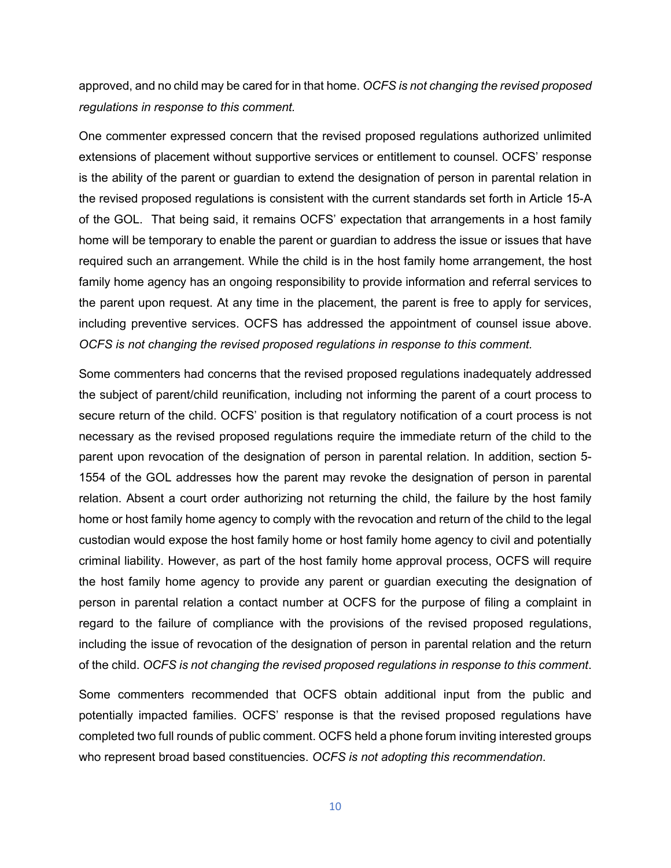approved, and no child may be cared for in that home. *OCFS is not changing the revised proposed regulations in response to this comment.*

One commenter expressed concern that the revised proposed regulations authorized unlimited extensions of placement without supportive services or entitlement to counsel. OCFS' response is the ability of the parent or guardian to extend the designation of person in parental relation in the revised proposed regulations is consistent with the current standards set forth in Article 15-A of the GOL. That being said, it remains OCFS' expectation that arrangements in a host family home will be temporary to enable the parent or guardian to address the issue or issues that have required such an arrangement. While the child is in the host family home arrangement, the host family home agency has an ongoing responsibility to provide information and referral services to the parent upon request. At any time in the placement, the parent is free to apply for services, including preventive services. OCFS has addressed the appointment of counsel issue above. *OCFS is not changing the revised proposed regulations in response to this comment.*

Some commenters had concerns that the revised proposed regulations inadequately addressed the subject of parent/child reunification, including not informing the parent of a court process to secure return of the child. OCFS' position is that regulatory notification of a court process is not necessary as the revised proposed regulations require the immediate return of the child to the parent upon revocation of the designation of person in parental relation. In addition, section 5- 1554 of the GOL addresses how the parent may revoke the designation of person in parental relation. Absent a court order authorizing not returning the child, the failure by the host family home or host family home agency to comply with the revocation and return of the child to the legal custodian would expose the host family home or host family home agency to civil and potentially criminal liability. However, as part of the host family home approval process, OCFS will require the host family home agency to provide any parent or guardian executing the designation of person in parental relation a contact number at OCFS for the purpose of filing a complaint in regard to the failure of compliance with the provisions of the revised proposed regulations, including the issue of revocation of the designation of person in parental relation and the return of the child. *OCFS is not changing the revised proposed regulations in response to this comment*.

Some commenters recommended that OCFS obtain additional input from the public and potentially impacted families. OCFS' response is that the revised proposed regulations have completed two full rounds of public comment. OCFS held a phone forum inviting interested groups who represent broad based constituencies. *OCFS is not adopting this recommendation*.

10